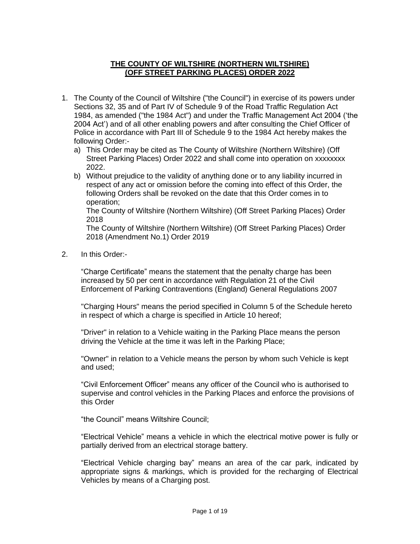#### **THE COUNTY OF WILTSHIRE (NORTHERN WILTSHIRE) (OFF STREET PARKING PLACES) ORDER 2022**

- 1. The County of the Council of Wiltshire ("the Council") in exercise of its powers under Sections 32, 35 and of Part IV of Schedule 9 of the Road Traffic Regulation Act 1984, as amended ("the 1984 Act") and under the Traffic Management Act 2004 ('the 2004 Act') and of all other enabling powers and after consulting the Chief Officer of Police in accordance with Part III of Schedule 9 to the 1984 Act hereby makes the following Order:
	- a) This Order may be cited as The County of Wiltshire (Northern Wiltshire) (Off Street Parking Places) Order 2022 and shall come into operation on xxxxxxxx 2022.
	- b) Without prejudice to the validity of anything done or to any liability incurred in respect of any act or omission before the coming into effect of this Order, the following Orders shall be revoked on the date that this Order comes in to operation;

The County of Wiltshire (Northern Wiltshire) (Off Street Parking Places) Order 2018

The County of Wiltshire (Northern Wiltshire) (Off Street Parking Places) Order 2018 (Amendment No.1) Order 2019

2. In this Order:-

"Charge Certificate" means the statement that the penalty charge has been increased by 50 per cent in accordance with Regulation 21 of the Civil Enforcement of Parking Contraventions (England) General Regulations 2007

"Charging Hours" means the period specified in Column 5 of the Schedule hereto in respect of which a charge is specified in Article 10 hereof;

"Driver" in relation to a Vehicle waiting in the Parking Place means the person driving the Vehicle at the time it was left in the Parking Place;

"Owner" in relation to a Vehicle means the person by whom such Vehicle is kept and used;

"Civil Enforcement Officer" means any officer of the Council who is authorised to supervise and control vehicles in the Parking Places and enforce the provisions of this Order

"the Council" means Wiltshire Council;

"Electrical Vehicle" means a vehicle in which the electrical motive power is fully or partially derived from an electrical storage battery.

"Electrical Vehicle charging bay" means an area of the car park, indicated by appropriate signs & markings, which is provided for the recharging of Electrical Vehicles by means of a Charging post.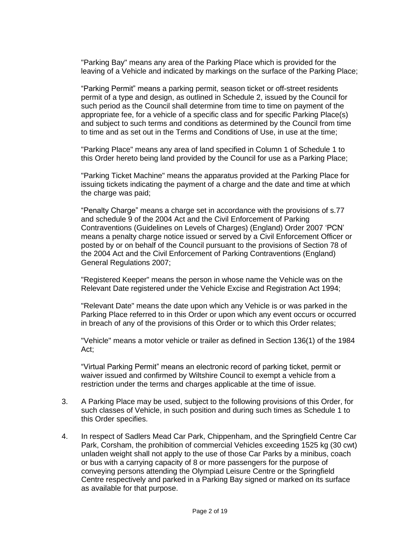"Parking Bay" means any area of the Parking Place which is provided for the leaving of a Vehicle and indicated by markings on the surface of the Parking Place;

"Parking Permit" means a parking permit, season ticket or off-street residents permit of a type and design, as outlined in Schedule 2, issued by the Council for such period as the Council shall determine from time to time on payment of the appropriate fee, for a vehicle of a specific class and for specific Parking Place(s) and subject to such terms and conditions as determined by the Council from time to time and as set out in the Terms and Conditions of Use, in use at the time;

"Parking Place" means any area of land specified in Column 1 of Schedule 1 to this Order hereto being land provided by the Council for use as a Parking Place;

"Parking Ticket Machine" means the apparatus provided at the Parking Place for issuing tickets indicating the payment of a charge and the date and time at which the charge was paid;

"Penalty Charge" means a charge set in accordance with the provisions of s.77 and schedule 9 of the 2004 Act and the Civil Enforcement of Parking Contraventions (Guidelines on Levels of Charges) (England) Order 2007 'PCN' means a penalty charge notice issued or served by a Civil Enforcement Officer or posted by or on behalf of the Council pursuant to the provisions of Section 78 of the 2004 Act and the Civil Enforcement of Parking Contraventions (England) General Regulations 2007;

"Registered Keeper" means the person in whose name the Vehicle was on the Relevant Date registered under the Vehicle Excise and Registration Act 1994;

"Relevant Date" means the date upon which any Vehicle is or was parked in the Parking Place referred to in this Order or upon which any event occurs or occurred in breach of any of the provisions of this Order or to which this Order relates;

"Vehicle" means a motor vehicle or trailer as defined in Section 136(1) of the 1984 Act;

"Virtual Parking Permit" means an electronic record of parking ticket, permit or waiver issued and confirmed by Wiltshire Council to exempt a vehicle from a restriction under the terms and charges applicable at the time of issue.

- 3. A Parking Place may be used, subject to the following provisions of this Order, for such classes of Vehicle, in such position and during such times as Schedule 1 to this Order specifies.
- 4. In respect of Sadlers Mead Car Park, Chippenham, and the Springfield Centre Car Park, Corsham, the prohibition of commercial Vehicles exceeding 1525 kg (30 cwt) unladen weight shall not apply to the use of those Car Parks by a minibus, coach or bus with a carrying capacity of 8 or more passengers for the purpose of conveying persons attending the Olympiad Leisure Centre or the Springfield Centre respectively and parked in a Parking Bay signed or marked on its surface as available for that purpose.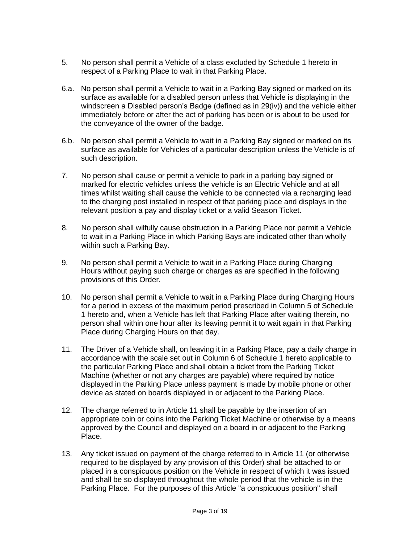- 5. No person shall permit a Vehicle of a class excluded by Schedule 1 hereto in respect of a Parking Place to wait in that Parking Place.
- 6.a. No person shall permit a Vehicle to wait in a Parking Bay signed or marked on its surface as available for a disabled person unless that Vehicle is displaying in the windscreen a Disabled person's Badge (defined as in 29(iv)) and the vehicle either immediately before or after the act of parking has been or is about to be used for the conveyance of the owner of the badge.
- 6.b. No person shall permit a Vehicle to wait in a Parking Bay signed or marked on its surface as available for Vehicles of a particular description unless the Vehicle is of such description.
- 7. No person shall cause or permit a vehicle to park in a parking bay signed or marked for electric vehicles unless the vehicle is an Electric Vehicle and at all times whilst waiting shall cause the vehicle to be connected via a recharging lead to the charging post installed in respect of that parking place and displays in the relevant position a pay and display ticket or a valid Season Ticket.
- 8. No person shall wilfully cause obstruction in a Parking Place nor permit a Vehicle to wait in a Parking Place in which Parking Bays are indicated other than wholly within such a Parking Bay.
- 9. No person shall permit a Vehicle to wait in a Parking Place during Charging Hours without paying such charge or charges as are specified in the following provisions of this Order.
- 10. No person shall permit a Vehicle to wait in a Parking Place during Charging Hours for a period in excess of the maximum period prescribed in Column 5 of Schedule 1 hereto and, when a Vehicle has left that Parking Place after waiting therein, no person shall within one hour after its leaving permit it to wait again in that Parking Place during Charging Hours on that day.
- 11. The Driver of a Vehicle shall, on leaving it in a Parking Place, pay a daily charge in accordance with the scale set out in Column 6 of Schedule 1 hereto applicable to the particular Parking Place and shall obtain a ticket from the Parking Ticket Machine (whether or not any charges are payable) where required by notice displayed in the Parking Place unless payment is made by mobile phone or other device as stated on boards displayed in or adjacent to the Parking Place.
- 12. The charge referred to in Article 11 shall be payable by the insertion of an appropriate coin or coins into the Parking Ticket Machine or otherwise by a means approved by the Council and displayed on a board in or adjacent to the Parking Place.
- 13. Any ticket issued on payment of the charge referred to in Article 11 (or otherwise required to be displayed by any provision of this Order) shall be attached to or placed in a conspicuous position on the Vehicle in respect of which it was issued and shall be so displayed throughout the whole period that the vehicle is in the Parking Place. For the purposes of this Article "a conspicuous position" shall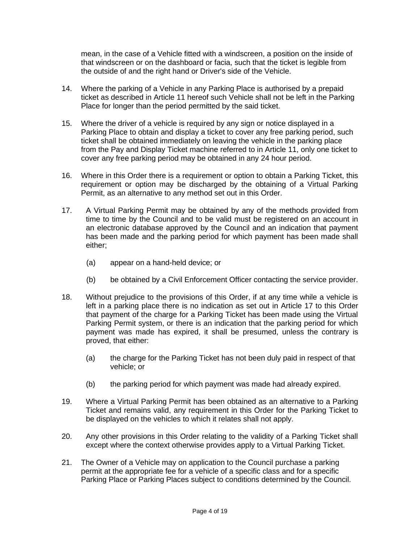mean, in the case of a Vehicle fitted with a windscreen, a position on the inside of that windscreen or on the dashboard or facia, such that the ticket is legible from the outside of and the right hand or Driver's side of the Vehicle.

- 14. Where the parking of a Vehicle in any Parking Place is authorised by a prepaid ticket as described in Article 11 hereof such Vehicle shall not be left in the Parking Place for longer than the period permitted by the said ticket.
- 15. Where the driver of a vehicle is required by any sign or notice displayed in a Parking Place to obtain and display a ticket to cover any free parking period, such ticket shall be obtained immediately on leaving the vehicle in the parking place from the Pay and Display Ticket machine referred to in Article 11, only one ticket to cover any free parking period may be obtained in any 24 hour period.
- 16. Where in this Order there is a requirement or option to obtain a Parking Ticket, this requirement or option may be discharged by the obtaining of a Virtual Parking Permit, as an alternative to any method set out in this Order.
- 17. A Virtual Parking Permit may be obtained by any of the methods provided from time to time by the Council and to be valid must be registered on an account in an electronic database approved by the Council and an indication that payment has been made and the parking period for which payment has been made shall either;
	- (a) appear on a hand-held device; or
	- (b) be obtained by a Civil Enforcement Officer contacting the service provider.
- 18. Without prejudice to the provisions of this Order, if at any time while a vehicle is left in a parking place there is no indication as set out in Article 17 to this Order that payment of the charge for a Parking Ticket has been made using the Virtual Parking Permit system, or there is an indication that the parking period for which payment was made has expired, it shall be presumed, unless the contrary is proved, that either:
	- (a) the charge for the Parking Ticket has not been duly paid in respect of that vehicle; or
	- (b) the parking period for which payment was made had already expired.
- 19. Where a Virtual Parking Permit has been obtained as an alternative to a Parking Ticket and remains valid, any requirement in this Order for the Parking Ticket to be displayed on the vehicles to which it relates shall not apply.
- 20. Any other provisions in this Order relating to the validity of a Parking Ticket shall except where the context otherwise provides apply to a Virtual Parking Ticket.
- 21. The Owner of a Vehicle may on application to the Council purchase a parking permit at the appropriate fee for a vehicle of a specific class and for a specific Parking Place or Parking Places subject to conditions determined by the Council.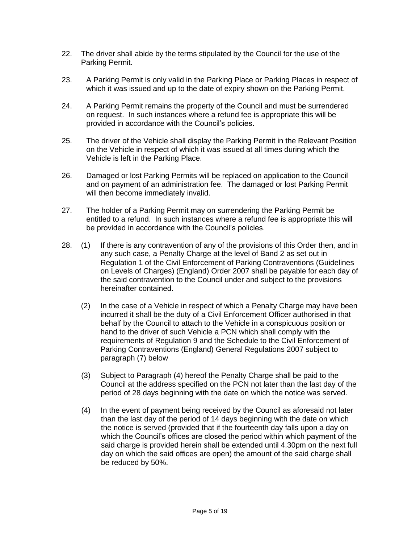- 22. The driver shall abide by the terms stipulated by the Council for the use of the Parking Permit.
- 23. A Parking Permit is only valid in the Parking Place or Parking Places in respect of which it was issued and up to the date of expiry shown on the Parking Permit.
- 24. A Parking Permit remains the property of the Council and must be surrendered on request. In such instances where a refund fee is appropriate this will be provided in accordance with the Council's policies.
- 25. The driver of the Vehicle shall display the Parking Permit in the Relevant Position on the Vehicle in respect of which it was issued at all times during which the Vehicle is left in the Parking Place.
- 26. Damaged or lost Parking Permits will be replaced on application to the Council and on payment of an administration fee. The damaged or lost Parking Permit will then become immediately invalid.
- 27. The holder of a Parking Permit may on surrendering the Parking Permit be entitled to a refund. In such instances where a refund fee is appropriate this will be provided in accordance with the Council's policies.
- 28. (1) If there is any contravention of any of the provisions of this Order then, and in any such case, a Penalty Charge at the level of Band 2 as set out in Regulation 1 of the Civil Enforcement of Parking Contraventions (Guidelines on Levels of Charges) (England) Order 2007 shall be payable for each day of the said contravention to the Council under and subject to the provisions hereinafter contained.
	- (2) In the case of a Vehicle in respect of which a Penalty Charge may have been incurred it shall be the duty of a Civil Enforcement Officer authorised in that behalf by the Council to attach to the Vehicle in a conspicuous position or hand to the driver of such Vehicle a PCN which shall comply with the requirements of Regulation 9 and the Schedule to the Civil Enforcement of Parking Contraventions (England) General Regulations 2007 subject to paragraph (7) below
	- (3) Subject to Paragraph (4) hereof the Penalty Charge shall be paid to the Council at the address specified on the PCN not later than the last day of the period of 28 days beginning with the date on which the notice was served.
	- (4) In the event of payment being received by the Council as aforesaid not later than the last day of the period of 14 days beginning with the date on which the notice is served (provided that if the fourteenth day falls upon a day on which the Council's offices are closed the period within which payment of the said charge is provided herein shall be extended until 4.30pm on the next full day on which the said offices are open) the amount of the said charge shall be reduced by 50%.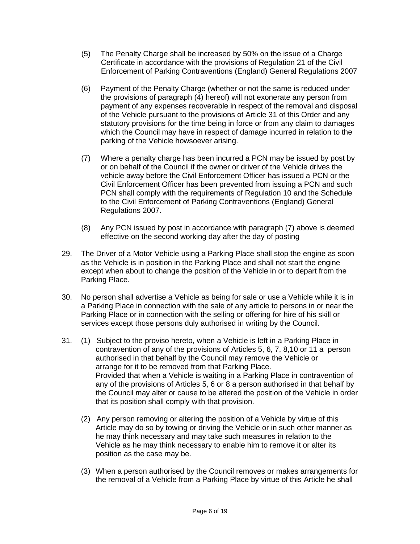- (5) The Penalty Charge shall be increased by 50% on the issue of a Charge Certificate in accordance with the provisions of Regulation 21 of the Civil Enforcement of Parking Contraventions (England) General Regulations 2007
- (6) Payment of the Penalty Charge (whether or not the same is reduced under the provisions of paragraph (4) hereof) will not exonerate any person from payment of any expenses recoverable in respect of the removal and disposal of the Vehicle pursuant to the provisions of Article 31 of this Order and any statutory provisions for the time being in force or from any claim to damages which the Council may have in respect of damage incurred in relation to the parking of the Vehicle howsoever arising.
- (7) Where a penalty charge has been incurred a PCN may be issued by post by or on behalf of the Council if the owner or driver of the Vehicle drives the vehicle away before the Civil Enforcement Officer has issued a PCN or the Civil Enforcement Officer has been prevented from issuing a PCN and such PCN shall comply with the requirements of Regulation 10 and the Schedule to the Civil Enforcement of Parking Contraventions (England) General Regulations 2007.
- (8) Any PCN issued by post in accordance with paragraph (7) above is deemed effective on the second working day after the day of posting
- 29. The Driver of a Motor Vehicle using a Parking Place shall stop the engine as soon as the Vehicle is in position in the Parking Place and shall not start the engine except when about to change the position of the Vehicle in or to depart from the Parking Place.
- 30. No person shall advertise a Vehicle as being for sale or use a Vehicle while it is in a Parking Place in connection with the sale of any article to persons in or near the Parking Place or in connection with the selling or offering for hire of his skill or services except those persons duly authorised in writing by the Council.
- 31. (1) Subject to the proviso hereto, when a Vehicle is left in a Parking Place in contravention of any of the provisions of Articles 5, 6, 7, 8,10 or 11 a person authorised in that behalf by the Council may remove the Vehicle or arrange for it to be removed from that Parking Place. Provided that when a Vehicle is waiting in a Parking Place in contravention of any of the provisions of Articles 5, 6 or 8 a person authorised in that behalf by the Council may alter or cause to be altered the position of the Vehicle in order that its position shall comply with that provision.
	- (2) Any person removing or altering the position of a Vehicle by virtue of this Article may do so by towing or driving the Vehicle or in such other manner as he may think necessary and may take such measures in relation to the Vehicle as he may think necessary to enable him to remove it or alter its position as the case may be.
	- (3) When a person authorised by the Council removes or makes arrangements for the removal of a Vehicle from a Parking Place by virtue of this Article he shall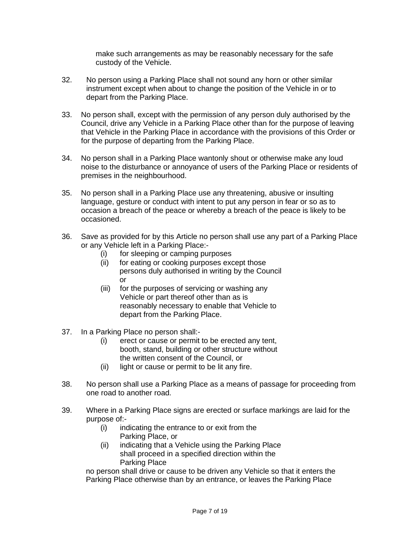make such arrangements as may be reasonably necessary for the safe custody of the Vehicle.

- 32. No person using a Parking Place shall not sound any horn or other similar instrument except when about to change the position of the Vehicle in or to depart from the Parking Place.
- 33. No person shall, except with the permission of any person duly authorised by the Council, drive any Vehicle in a Parking Place other than for the purpose of leaving that Vehicle in the Parking Place in accordance with the provisions of this Order or for the purpose of departing from the Parking Place.
- 34. No person shall in a Parking Place wantonly shout or otherwise make any loud noise to the disturbance or annoyance of users of the Parking Place or residents of premises in the neighbourhood.
- 35. No person shall in a Parking Place use any threatening, abusive or insulting language, gesture or conduct with intent to put any person in fear or so as to occasion a breach of the peace or whereby a breach of the peace is likely to be occasioned.
- 36. Save as provided for by this Article no person shall use any part of a Parking Place or any Vehicle left in a Parking Place:-
	- (i) for sleeping or camping purposes
	- (ii) for eating or cooking purposes except those persons duly authorised in writing by the Council or
	- (iii) for the purposes of servicing or washing any Vehicle or part thereof other than as is reasonably necessary to enable that Vehicle to depart from the Parking Place.
- 37. In a Parking Place no person shall:-
	- (i) erect or cause or permit to be erected any tent, booth, stand, building or other structure without the written consent of the Council, or
	- (ii) light or cause or permit to be lit any fire.
- 38. No person shall use a Parking Place as a means of passage for proceeding from one road to another road.
- 39. Where in a Parking Place signs are erected or surface markings are laid for the purpose of:-
	- (i) indicating the entrance to or exit from the Parking Place, or
	- (ii) indicating that a Vehicle using the Parking Place shall proceed in a specified direction within the Parking Place

no person shall drive or cause to be driven any Vehicle so that it enters the Parking Place otherwise than by an entrance, or leaves the Parking Place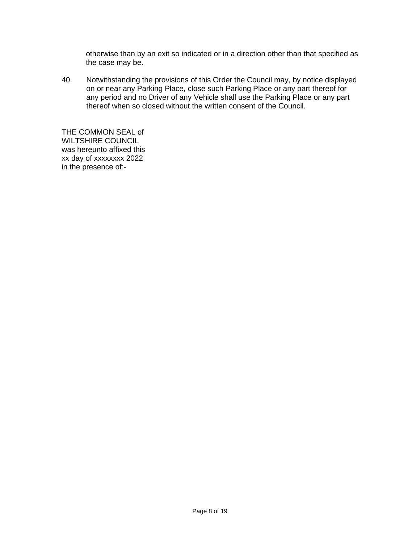otherwise than by an exit so indicated or in a direction other than that specified as the case may be.

40. Notwithstanding the provisions of this Order the Council may, by notice displayed on or near any Parking Place, close such Parking Place or any part thereof for any period and no Driver of any Vehicle shall use the Parking Place or any part thereof when so closed without the written consent of the Council.

THE COMMON SEAL of WILTSHIRE COUNCIL was hereunto affixed this xx day of xxxxxxxx 2022 in the presence of:-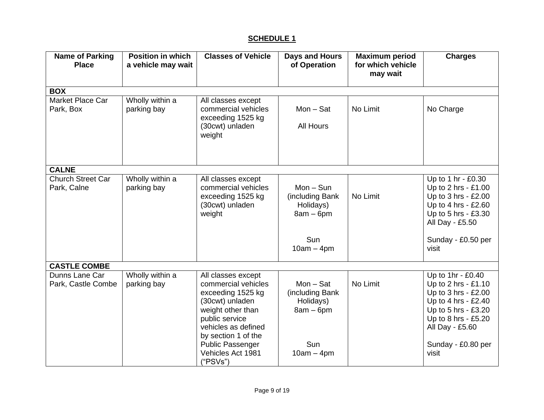# **SCHEDULE 1**

| <b>Name of Parking</b><br><b>Place</b>  | <b>Position in which</b><br>a vehicle may wait | <b>Classes of Vehicle</b>                                                                                                                                                                                                   | <b>Days and Hours</b><br>of Operation                                              | <b>Maximum period</b><br>for which vehicle<br>may wait | <b>Charges</b>                                                                                                                                                                         |  |  |
|-----------------------------------------|------------------------------------------------|-----------------------------------------------------------------------------------------------------------------------------------------------------------------------------------------------------------------------------|------------------------------------------------------------------------------------|--------------------------------------------------------|----------------------------------------------------------------------------------------------------------------------------------------------------------------------------------------|--|--|
| <b>BOX</b>                              |                                                |                                                                                                                                                                                                                             |                                                                                    |                                                        |                                                                                                                                                                                        |  |  |
| Market Place Car<br>Park, Box           | Wholly within a<br>parking bay                 | All classes except<br>commercial vehicles<br>exceeding 1525 kg<br>(30cwt) unladen<br>weight                                                                                                                                 | $Mon - Sat$<br><b>All Hours</b>                                                    | No Limit                                               | No Charge                                                                                                                                                                              |  |  |
| <b>CALNE</b>                            |                                                |                                                                                                                                                                                                                             |                                                                                    |                                                        |                                                                                                                                                                                        |  |  |
| <b>Church Street Car</b><br>Park, Calne | Wholly within a<br>parking bay                 | All classes except<br>commercial vehicles<br>exceeding 1525 kg<br>(30cwt) unladen<br>weight                                                                                                                                 | $Mon-Sun$<br>(including Bank<br>Holidays)<br>$8am - 6pm$<br>Sun<br>$10am - 4pm$    | No Limit                                               | Up to 1 hr - £0.30<br>Up to 2 hrs - £1.00<br>Up to 3 hrs - £2.00<br>Up to 4 hrs - $£2.60$<br>Up to 5 hrs - £3.30<br>All Day - £5.50<br>Sunday - £0.50 per<br>visit                     |  |  |
| <b>CASTLE COMBE</b>                     |                                                |                                                                                                                                                                                                                             |                                                                                    |                                                        |                                                                                                                                                                                        |  |  |
| Dunns Lane Car<br>Park, Castle Combe    | Wholly within a<br>parking bay                 | All classes except<br>commercial vehicles<br>exceeding 1525 kg<br>(30cwt) unladen<br>weight other than<br>public service<br>vehicles as defined<br>by section 1 of the<br>Public Passenger<br>Vehicles Act 1981<br>("PSVs") | $Mon - Sat$<br>(including Bank)<br>Holidays)<br>$8am - 6pm$<br>Sun<br>$10am - 4pm$ | No Limit                                               | Up to 1hr - £0.40<br>Up to 2 hrs - £1.10<br>Up to 3 hrs - £2.00<br>Up to 4 hrs - £2.40<br>Up to 5 hrs - £3.20<br>Up to 8 hrs - £5.20<br>All Day - £5.60<br>Sunday - £0.80 per<br>visit |  |  |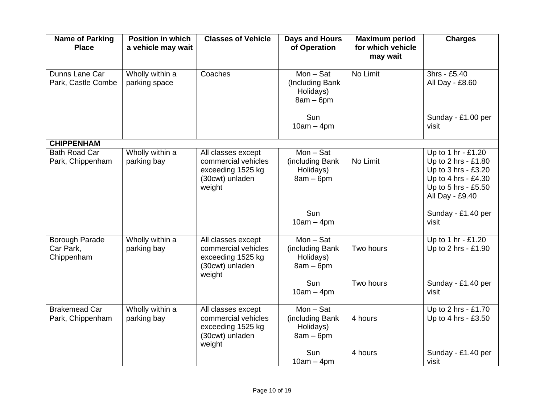| <b>Name of Parking</b><br><b>Place</b>           | <b>Position in which</b><br>a vehicle may wait | <b>Classes of Vehicle</b>                                                                   | <b>Days and Hours</b><br>of Operation                      | <b>Maximum period</b><br>for which vehicle<br>may wait | <b>Charges</b>                                                                                                                    |
|--------------------------------------------------|------------------------------------------------|---------------------------------------------------------------------------------------------|------------------------------------------------------------|--------------------------------------------------------|-----------------------------------------------------------------------------------------------------------------------------------|
| Dunns Lane Car<br>Park, Castle Combe             | Wholly within a<br>parking space               | Coaches                                                                                     | $Mon - Sat$<br>(Including Bank<br>Holidays)<br>$8am - 6pm$ | No Limit                                               | 3hrs - £5.40<br>All Day - £8.60                                                                                                   |
|                                                  |                                                |                                                                                             | Sun<br>$10am - 4pm$                                        |                                                        | Sunday - £1.00 per<br>visit                                                                                                       |
| <b>CHIPPENHAM</b>                                |                                                |                                                                                             |                                                            |                                                        |                                                                                                                                   |
| <b>Bath Road Car</b><br>Park, Chippenham         | Wholly within a<br>parking bay                 | All classes except<br>commercial vehicles<br>exceeding 1525 kg<br>(30cwt) unladen<br>weight | $Mon - Sat$<br>(including Bank<br>Holidays)<br>$8am - 6pm$ | No Limit                                               | Up to 1 hr - £1.20<br>Up to 2 hrs - £1.80<br>Up to 3 hrs - £3.20<br>Up to 4 hrs - £4.30<br>Up to 5 hrs - £5.50<br>All Day - £9.40 |
|                                                  |                                                |                                                                                             | Sun<br>$10am - 4pm$                                        |                                                        | Sunday - £1.40 per<br>visit                                                                                                       |
| <b>Borough Parade</b><br>Car Park,<br>Chippenham | Wholly within a<br>parking bay                 | All classes except<br>commercial vehicles<br>exceeding 1525 kg<br>(30cwt) unladen<br>weight | $Mon - Sat$<br>(including Bank<br>Holidays)<br>$8am - 6pm$ | Two hours                                              | Up to 1 hr - £1.20<br>Up to 2 hrs - £1.90                                                                                         |
|                                                  |                                                |                                                                                             | Sun<br>$10am - 4pm$                                        | Two hours                                              | Sunday - £1.40 per<br>visit                                                                                                       |
| <b>Brakemead Car</b><br>Park, Chippenham         | Wholly within a<br>parking bay                 | All classes except<br>commercial vehicles<br>exceeding 1525 kg<br>(30cwt) unladen<br>weight | $Mon - Sat$<br>(including Bank<br>Holidays)<br>$8am - 6pm$ | 4 hours                                                | Up to 2 hrs - £1.70<br>Up to 4 hrs - £3.50                                                                                        |
|                                                  |                                                |                                                                                             | Sun<br>$10am - 4pm$                                        | 4 hours                                                | Sunday - £1.40 per<br>visit                                                                                                       |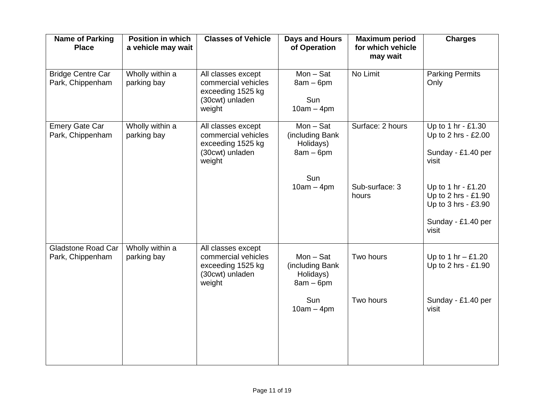| <b>Name of Parking</b><br><b>Place</b>        | <b>Position in which</b><br>a vehicle may wait | <b>Classes of Vehicle</b>                                                                   | Days and Hours<br>of Operation                                                    | <b>Maximum period</b><br>for which vehicle<br>may wait | <b>Charges</b>                                                                                                                                                              |
|-----------------------------------------------|------------------------------------------------|---------------------------------------------------------------------------------------------|-----------------------------------------------------------------------------------|--------------------------------------------------------|-----------------------------------------------------------------------------------------------------------------------------------------------------------------------------|
| <b>Bridge Centre Car</b><br>Park, Chippenham  | Wholly within a<br>parking bay                 | All classes except<br>commercial vehicles<br>exceeding 1525 kg<br>(30cwt) unladen<br>weight | $Mon - Sat$<br>$8am - 6pm$<br>Sun<br>$10am - 4pm$                                 | No Limit                                               | <b>Parking Permits</b><br>Only                                                                                                                                              |
| <b>Emery Gate Car</b><br>Park, Chippenham     | Wholly within a<br>parking bay                 | All classes except<br>commercial vehicles<br>exceeding 1525 kg<br>(30cwt) unladen<br>weight | $Mon - Sat$<br>(including Bank<br>Holidays)<br>$8am - 6pm$<br>Sun<br>$10am - 4pm$ | Surface: 2 hours<br>Sub-surface: 3<br>hours            | Up to 1 hr - £1.30<br>Up to 2 hrs - £2.00<br>Sunday - £1.40 per<br>visit<br>Up to 1 hr - £1.20<br>Up to 2 hrs - £1.90<br>Up to 3 hrs - £3.90<br>Sunday - £1.40 per<br>visit |
| <b>Gladstone Road Car</b><br>Park, Chippenham | Wholly within a<br>parking bay                 | All classes except<br>commercial vehicles<br>exceeding 1525 kg<br>(30cwt) unladen<br>weight | $Mon - Sat$<br>(including Bank<br>Holidays)<br>$8am - 6pm$<br>Sun<br>$10am - 4pm$ | Two hours<br>Two hours                                 | Up to 1 hr $-$ £1.20<br>Up to 2 hrs - £1.90<br>Sunday - £1.40 per<br>visit                                                                                                  |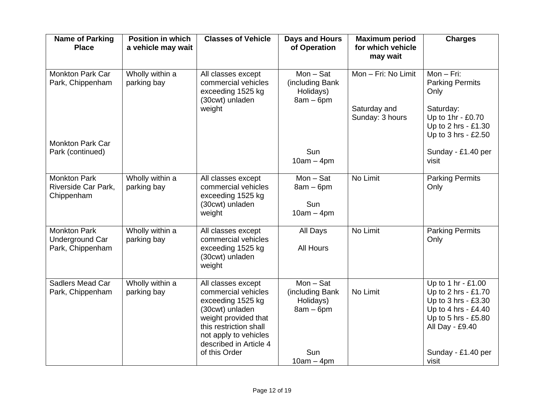| <b>Name of Parking</b><br><b>Place</b>                     | <b>Position in which</b><br>a vehicle may wait | <b>Classes of Vehicle</b>                                                                                                                                                                               | <b>Days and Hours</b><br>of Operation                                             | <b>Maximum period</b><br>for which vehicle<br>may wait | <b>Charges</b>                                                                                                                                                   |
|------------------------------------------------------------|------------------------------------------------|---------------------------------------------------------------------------------------------------------------------------------------------------------------------------------------------------------|-----------------------------------------------------------------------------------|--------------------------------------------------------|------------------------------------------------------------------------------------------------------------------------------------------------------------------|
| <b>Monkton Park Car</b><br>Park, Chippenham                | Wholly within a<br>parking bay                 | All classes except<br>commercial vehicles<br>exceeding 1525 kg<br>(30cwt) unladen<br>weight                                                                                                             | $Mon - Sat$<br>(including Bank<br>Holidays)<br>$8am - 6pm$                        | Mon - Fri: No Limit<br>Saturday and<br>Sunday: 3 hours | $Mon-Fri:$<br><b>Parking Permits</b><br>Only<br>Saturday:<br>Up to 1hr - £0.70<br>Up to 2 hrs - £1.30<br>Up to 3 hrs - £2.50                                     |
| <b>Monkton Park Car</b><br>Park (continued)                |                                                |                                                                                                                                                                                                         | Sun<br>$10am - 4pm$                                                               |                                                        | Sunday - £1.40 per<br>visit                                                                                                                                      |
| <b>Monkton Park</b><br>Riverside Car Park,<br>Chippenham   | Wholly within a<br>parking bay                 | All classes except<br>commercial vehicles<br>exceeding 1525 kg<br>(30cwt) unladen<br>weight                                                                                                             | $Mon - Sat$<br>$8am - 6pm$<br>Sun<br>$10am - 4pm$                                 | No Limit                                               | <b>Parking Permits</b><br>Only                                                                                                                                   |
| <b>Monkton Park</b><br>Underground Car<br>Park, Chippenham | Wholly within a<br>parking bay                 | All classes except<br>commercial vehicles<br>exceeding 1525 kg<br>(30cwt) unladen<br>weight                                                                                                             | All Days<br><b>All Hours</b>                                                      | No Limit                                               | <b>Parking Permits</b><br>Only                                                                                                                                   |
| Sadlers Mead Car<br>Park, Chippenham                       | Wholly within a<br>parking bay                 | All classes except<br>commercial vehicles<br>exceeding 1525 kg<br>(30cwt) unladen<br>weight provided that<br>this restriction shall<br>not apply to vehicles<br>described in Article 4<br>of this Order | $Mon - Sat$<br>(including Bank<br>Holidays)<br>$8am - 6pm$<br>Sun<br>$10am - 4pm$ | No Limit                                               | Up to 1 hr - £1.00<br>Up to 2 hrs - £1.70<br>Up to 3 hrs - £3.30<br>Up to 4 hrs - £4.40<br>Up to 5 hrs - £5.80<br>All Day - £9.40<br>Sunday - £1.40 per<br>visit |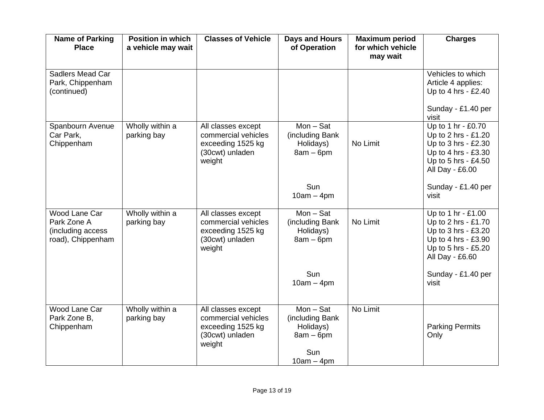| <b>Name of Parking</b><br><b>Place</b>                                 | <b>Position in which</b><br>a vehicle may wait | <b>Classes of Vehicle</b>                                                                   | <b>Days and Hours</b><br>of Operation                                             | <b>Maximum period</b><br>for which vehicle<br>may wait | <b>Charges</b>                                                                                                                    |
|------------------------------------------------------------------------|------------------------------------------------|---------------------------------------------------------------------------------------------|-----------------------------------------------------------------------------------|--------------------------------------------------------|-----------------------------------------------------------------------------------------------------------------------------------|
| Sadlers Mead Car<br>Park, Chippenham<br>(continued)                    |                                                |                                                                                             |                                                                                   |                                                        | Vehicles to which<br>Article 4 applies:<br>Up to 4 hrs - £2.40                                                                    |
|                                                                        |                                                |                                                                                             |                                                                                   |                                                        | Sunday - £1.40 per<br>visit                                                                                                       |
| Spanbourn Avenue<br>Car Park,<br>Chippenham                            | Wholly within a<br>parking bay                 | All classes except<br>commercial vehicles<br>exceeding 1525 kg<br>(30cwt) unladen<br>weight | $Mon - Sat$<br>(including Bank)<br>Holidays)<br>$8am - 6pm$                       | No Limit                                               | Up to 1 hr - £0.70<br>Up to 2 hrs - £1.20<br>Up to 3 hrs - £2.30<br>Up to 4 hrs - £3.30<br>Up to 5 hrs - £4.50<br>All Day - £6.00 |
|                                                                        |                                                |                                                                                             | Sun<br>$10am - 4pm$                                                               |                                                        | Sunday - £1.40 per<br>visit                                                                                                       |
| Wood Lane Car<br>Park Zone A<br>(including access<br>road), Chippenham | Wholly within a<br>parking bay                 | All classes except<br>commercial vehicles<br>exceeding 1525 kg<br>(30cwt) unladen<br>weight | $Mon - Sat$<br>(including Bank<br>Holidays)<br>$8am - 6pm$                        | No Limit                                               | Up to 1 hr - £1.00<br>Up to 2 hrs - £1.70<br>Up to 3 hrs - £3.20<br>Up to 4 hrs - £3.90<br>Up to 5 hrs - £5.20<br>All Day - £6.60 |
|                                                                        |                                                |                                                                                             | Sun<br>$10am - 4pm$                                                               |                                                        | Sunday - £1.40 per<br>visit                                                                                                       |
| Wood Lane Car<br>Park Zone B,<br>Chippenham                            | Wholly within a<br>parking bay                 | All classes except<br>commercial vehicles<br>exceeding 1525 kg<br>(30cwt) unladen<br>weight | $Mon - Sat$<br>(including Bank<br>Holidays)<br>$8am - 6pm$<br>Sun<br>$10am - 4pm$ | No Limit                                               | <b>Parking Permits</b><br>Only                                                                                                    |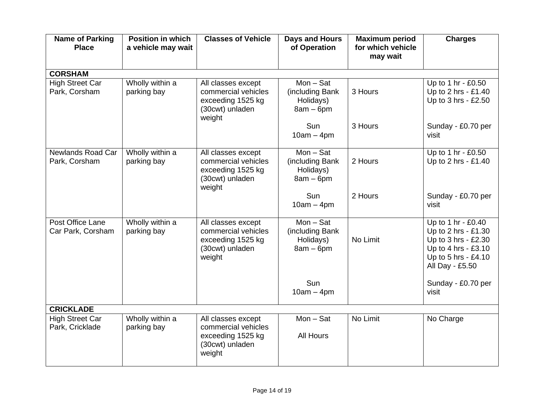| <b>Name of Parking</b><br><b>Place</b>    | <b>Position in which</b><br>a vehicle may wait | <b>Classes of Vehicle</b>                                                                   | <b>Days and Hours</b><br>of Operation                      | <b>Maximum period</b><br>for which vehicle<br>may wait | <b>Charges</b>                                                                                                                    |
|-------------------------------------------|------------------------------------------------|---------------------------------------------------------------------------------------------|------------------------------------------------------------|--------------------------------------------------------|-----------------------------------------------------------------------------------------------------------------------------------|
| <b>CORSHAM</b>                            |                                                |                                                                                             |                                                            |                                                        |                                                                                                                                   |
| <b>High Street Car</b><br>Park, Corsham   | Wholly within a<br>parking bay                 | All classes except<br>commercial vehicles<br>exceeding 1525 kg<br>(30cwt) unladen<br>weight | $Mon - Sat$<br>(including Bank<br>Holidays)<br>$8am - 6pm$ | 3 Hours                                                | Up to 1 hr - £0.50<br>Up to 2 hrs - £1.40<br>Up to 3 hrs - £2.50                                                                  |
|                                           |                                                |                                                                                             | Sun<br>$10am - 4pm$                                        | 3 Hours                                                | Sunday - £0.70 per<br>visit                                                                                                       |
| <b>Newlands Road Car</b><br>Park, Corsham | Wholly within a<br>parking bay                 | All classes except<br>commercial vehicles<br>exceeding 1525 kg<br>(30cwt) unladen<br>weight | $Mon - Sat$<br>(including Bank<br>Holidays)<br>$8am - 6pm$ | 2 Hours                                                | Up to 1 hr - £0.50<br>Up to 2 hrs - £1.40                                                                                         |
|                                           |                                                |                                                                                             | Sun<br>$10am - 4pm$                                        | 2 Hours                                                | Sunday - £0.70 per<br>visit                                                                                                       |
| Post Office Lane<br>Car Park, Corsham     | Wholly within a<br>parking bay                 | All classes except<br>commercial vehicles<br>exceeding 1525 kg<br>(30cwt) unladen<br>weight | $Mon - Sat$<br>(including Bank<br>Holidays)<br>$8am - 6pm$ | No Limit                                               | Up to 1 hr - £0.40<br>Up to 2 hrs - £1.30<br>Up to 3 hrs - £2.30<br>Up to 4 hrs - £3.10<br>Up to 5 hrs - £4.10<br>All Day - £5.50 |
|                                           |                                                |                                                                                             | Sun<br>$10am - 4pm$                                        |                                                        | Sunday - £0.70 per<br>visit                                                                                                       |
| <b>CRICKLADE</b>                          |                                                |                                                                                             |                                                            |                                                        |                                                                                                                                   |
| <b>High Street Car</b><br>Park, Cricklade | Wholly within a<br>parking bay                 | All classes except<br>commercial vehicles<br>exceeding 1525 kg<br>(30cwt) unladen<br>weight | $Mon - Sat$<br><b>All Hours</b>                            | No Limit                                               | No Charge                                                                                                                         |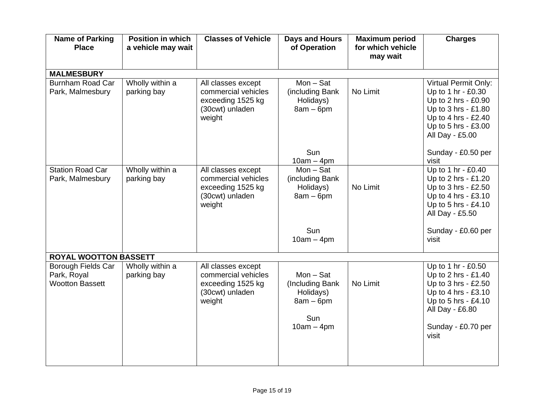| <b>Name of Parking</b><br><b>Place</b>                      | <b>Position in which</b><br>a vehicle may wait | <b>Classes of Vehicle</b>                                                                   | <b>Days and Hours</b><br>of Operation                                             | <b>Maximum period</b><br>for which vehicle | <b>Charges</b>                                                                                                                                                   |
|-------------------------------------------------------------|------------------------------------------------|---------------------------------------------------------------------------------------------|-----------------------------------------------------------------------------------|--------------------------------------------|------------------------------------------------------------------------------------------------------------------------------------------------------------------|
|                                                             |                                                |                                                                                             |                                                                                   | may wait                                   |                                                                                                                                                                  |
| <b>MALMESBURY</b>                                           |                                                |                                                                                             |                                                                                   |                                            |                                                                                                                                                                  |
| <b>Burnham Road Car</b><br>Park, Malmesbury                 | Wholly within a<br>parking bay                 | All classes except<br>commercial vehicles<br>exceeding 1525 kg<br>(30cwt) unladen<br>weight | $Mon - Sat$<br>(including Bank<br>Holidays)<br>$8am - 6pm$                        | No Limit                                   | <b>Virtual Permit Only:</b><br>Up to 1 hr - £0.30<br>Up to 2 hrs - £0.90<br>Up to 3 hrs - £1.80<br>Up to 4 hrs - £2.40<br>Up to 5 hrs - £3.00<br>All Day - £5.00 |
|                                                             |                                                |                                                                                             | Sun<br>$10am - 4pm$                                                               |                                            | Sunday - £0.50 per<br>visit                                                                                                                                      |
| <b>Station Road Car</b><br>Park, Malmesbury                 | Wholly within a<br>parking bay                 | All classes except<br>commercial vehicles<br>exceeding 1525 kg<br>(30cwt) unladen<br>weight | $Mon - Sat$<br>(including Bank<br>Holidays)<br>$8am - 6pm$<br>Sun                 | No Limit                                   | Up to 1 hr - £0.40<br>Up to 2 hrs - £1.20<br>Up to 3 hrs - £2.50<br>Up to 4 hrs - £3.10<br>Up to 5 hrs - £4.10<br>All Day - £5.50<br>Sunday - £0.60 per          |
|                                                             |                                                |                                                                                             | $10am - 4pm$                                                                      |                                            | visit                                                                                                                                                            |
| <b>ROYAL WOOTTON BASSETT</b>                                |                                                |                                                                                             |                                                                                   |                                            |                                                                                                                                                                  |
| Borough Fields Car<br>Park, Royal<br><b>Wootton Bassett</b> | Wholly within a<br>parking bay                 | All classes except<br>commercial vehicles<br>exceeding 1525 kg<br>(30cwt) unladen<br>weight | $Mon - Sat$<br>(Including Bank<br>Holidays)<br>$8am - 6pm$<br>Sun<br>$10am - 4pm$ | No Limit                                   | Up to 1 hr - £0.50<br>Up to 2 hrs - £1.40<br>Up to 3 hrs - £2.50<br>Up to 4 hrs - £3.10<br>Up to 5 hrs - £4.10<br>All Day - £6.80<br>Sunday - £0.70 per<br>visit |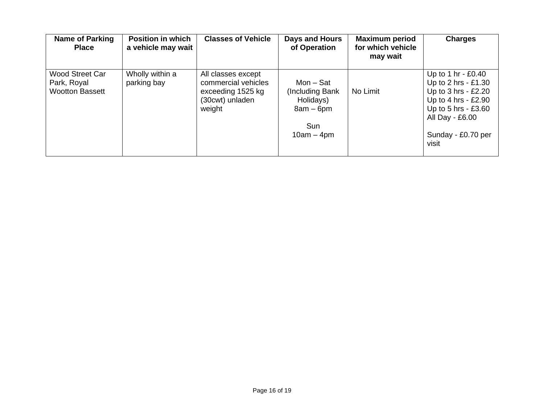| Name of Parking<br><b>Place</b>                                 | <b>Position in which</b><br>a vehicle may wait | <b>Classes of Vehicle</b>                                                                   | Days and Hours<br>of Operation                                                  | <b>Maximum period</b><br>for which vehicle<br>may wait | <b>Charges</b>                                                                                                                                                         |
|-----------------------------------------------------------------|------------------------------------------------|---------------------------------------------------------------------------------------------|---------------------------------------------------------------------------------|--------------------------------------------------------|------------------------------------------------------------------------------------------------------------------------------------------------------------------------|
| <b>Wood Street Car</b><br>Park, Royal<br><b>Wootton Bassett</b> | Wholly within a<br>parking bay                 | All classes except<br>commercial vehicles<br>exceeding 1525 kg<br>(30cwt) unladen<br>weight | Mon – Sat<br>(Including Bank<br>Holidays)<br>$8am - 6pm$<br>Sun<br>$10am - 4pm$ | No Limit                                               | Up to 1 hr - $£0.40$<br>Up to 2 hrs - £1.30<br>Up to $3$ hrs - £2.20<br>Up to 4 hrs - $£2.90$<br>Up to 5 hrs - £3.60<br>All Day - £6.00<br>Sunday - £0.70 per<br>visit |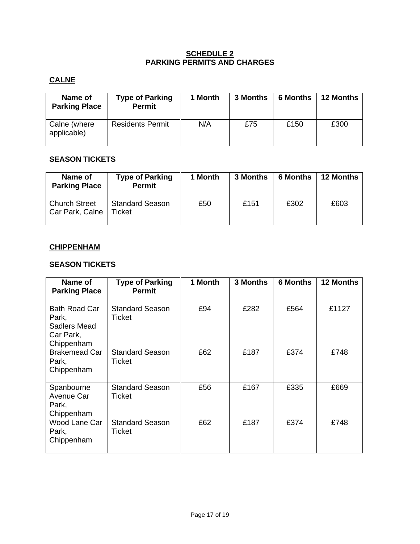#### **SCHEDULE 2 PARKING PERMITS AND CHARGES**

# **CALNE**

| Name of<br><b>Parking Place</b> | <b>Type of Parking</b><br><b>Permit</b> | 1 Month | 3 Months | <b>6 Months</b> | <b>12 Months</b> |
|---------------------------------|-----------------------------------------|---------|----------|-----------------|------------------|
| Calne (where<br>applicable)     | <b>Residents Permit</b>                 | N/A     | £75      | £150            | £300             |

## **SEASON TICKETS**

| Name of<br><b>Parking Place</b>         | <b>Type of Parking</b><br><b>Permit</b> | 1 Month | 3 Months | <b>6 Months</b> | <b>12 Months</b> |
|-----------------------------------------|-----------------------------------------|---------|----------|-----------------|------------------|
| <b>Church Street</b><br>Car Park, Calne | <b>Standard Season</b><br>Ticket        | £50     | £151     | £302            | £603             |

## **CHIPPENHAM**

## **SEASON TICKETS**

| Name of<br><b>Parking Place</b>                                   | <b>Type of Parking</b><br><b>Permit</b> | 1 Month | 3 Months | <b>6 Months</b> | <b>12 Months</b> |
|-------------------------------------------------------------------|-----------------------------------------|---------|----------|-----------------|------------------|
| Bath Road Car<br>Park,<br>Sadlers Mead<br>Car Park,<br>Chippenham | <b>Standard Season</b><br>Ticket        | £94     | £282     | £564            | £1127            |
| <b>Brakemead Car</b><br>Park,<br>Chippenham                       | <b>Standard Season</b><br>Ticket        | £62     | £187     | £374            | £748             |
| Spanbourne<br>Avenue Car<br>Park,<br>Chippenham                   | <b>Standard Season</b><br>Ticket        | £56     | £167     | £335            | £669             |
| Wood Lane Car<br>Park,<br>Chippenham                              | <b>Standard Season</b><br>Ticket        | £62     | £187     | £374            | £748             |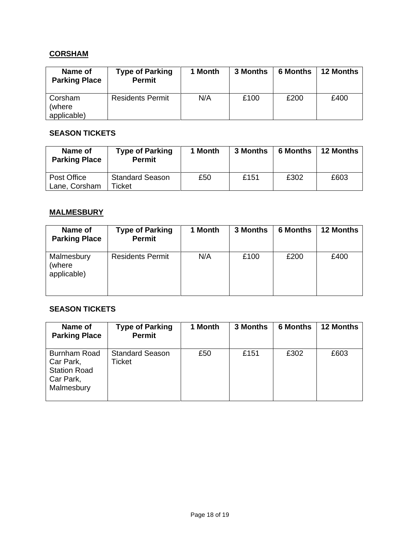## **CORSHAM**

| Name of<br><b>Parking Place</b> | <b>Type of Parking</b><br><b>Permit</b> | 1 Month | 3 Months | <b>6 Months</b> | <b>12 Months</b> |
|---------------------------------|-----------------------------------------|---------|----------|-----------------|------------------|
| Corsham                         | <b>Residents Permit</b>                 | N/A     | £100     | £200            | £400             |
| (where                          |                                         |         |          |                 |                  |
| applicable)                     |                                         |         |          |                 |                  |

## **SEASON TICKETS**

| Name of<br><b>Parking Place</b> | <b>Type of Parking</b><br><b>Permit</b> | 1 Month | 3 Months | <b>6 Months</b> | <b>12 Months</b> |
|---------------------------------|-----------------------------------------|---------|----------|-----------------|------------------|
| Post Office<br>Lane, Corsham    | <b>Standard Season</b><br>Ticket        | £50     | £151     | £302            | £603             |

## **MALMESBURY**

| Name of<br><b>Parking Place</b>     | <b>Type of Parking</b><br><b>Permit</b> | 1 Month | 3 Months | <b>6 Months</b> | <b>12 Months</b> |
|-------------------------------------|-----------------------------------------|---------|----------|-----------------|------------------|
| Malmesbury<br>(where<br>applicable) | <b>Residents Permit</b>                 | N/A     | £100     | £200            | £400             |

## **SEASON TICKETS**

| Name of<br><b>Parking Place</b>                                             | <b>Type of Parking</b><br><b>Permit</b> | 1 Month | 3 Months | <b>6 Months</b> | <b>12 Months</b> |
|-----------------------------------------------------------------------------|-----------------------------------------|---------|----------|-----------------|------------------|
| Burnham Road<br>Car Park,<br><b>Station Road</b><br>Car Park,<br>Malmesbury | <b>Standard Season</b><br>Ticket        | £50     | £151     | £302            | £603             |